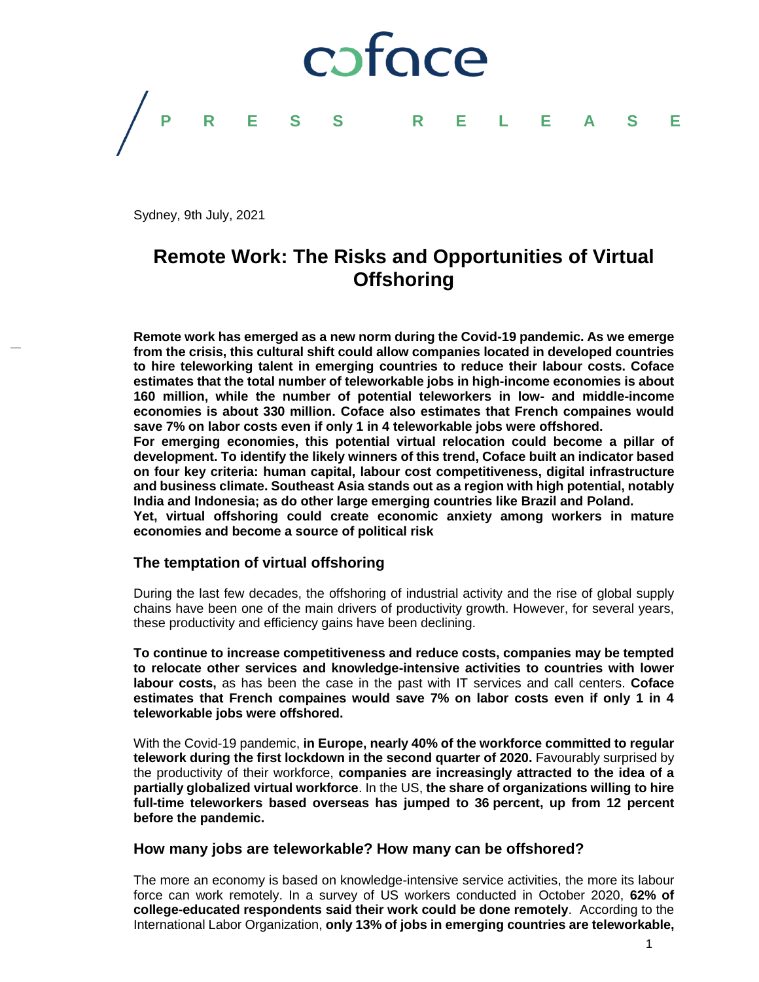# coface **PRESS RELEASE**

Sydney, 9th July, 2021

### **Remote Work: The Risks and Opportunities of Virtual Offshoring**

**Remote work has emerged as a new norm during the Covid-19 pandemic. As we emerge from the crisis, this cultural shift could allow companies located in developed countries to hire teleworking talent in emerging countries to reduce their labour costs. Coface estimates that the total number of teleworkable jobs in high-income economies is about 160 million, while the number of potential teleworkers in low- and middle-income economies is about 330 million. Coface also estimates that French compaines would save 7% on labor costs even if only 1 in 4 teleworkable jobs were offshored. For emerging economies, this potential virtual relocation could become a pillar of** 

**development. To identify the likely winners of this trend, Coface built an indicator based on four key criteria: human capital, labour cost competitiveness, digital infrastructure and business climate. Southeast Asia stands out as a region with high potential, notably India and Indonesia; as do other large emerging countries like Brazil and Poland.** 

**Yet, virtual offshoring could create economic anxiety among workers in mature economies and become a source of political risk** 

#### **The temptation of virtual offshoring**

During the last few decades, the offshoring of industrial activity and the rise of global supply chains have been one of the main drivers of productivity growth. However, for several years, these productivity and efficiency gains have been declining.

**To continue to increase competitiveness and reduce costs, companies may be tempted to relocate other services and knowledge-intensive activities to countries with lower labour costs,** as has been the case in the past with IT services and call centers. **Coface estimates that French compaines would save 7% on labor costs even if only 1 in 4 teleworkable jobs were offshored.**

With the Covid-19 pandemic, **in Europe, nearly 40% of the workforce committed to regular telework during the first lockdown in the second quarter of 2020.** Favourably surprised by the productivity of their workforce, **companies are increasingly attracted to the idea of a partially globalized virtual workforce**. In the US, **the share of organizations willing to hire full-time teleworkers based overseas has jumped to 36 percent, up from 12 percent before the pandemic.**

#### **How many jobs are teleworkabl***e***? How many can be offshored?**

The more an economy is based on knowledge-intensive service activities, the more its labour force can work remotely. In a survey of US workers conducted in October 2020, **62% of college-educated respondents said their work could be done remotely**. According to the International Labor Organization, **only 13% of jobs in emerging countries are teleworkable,**